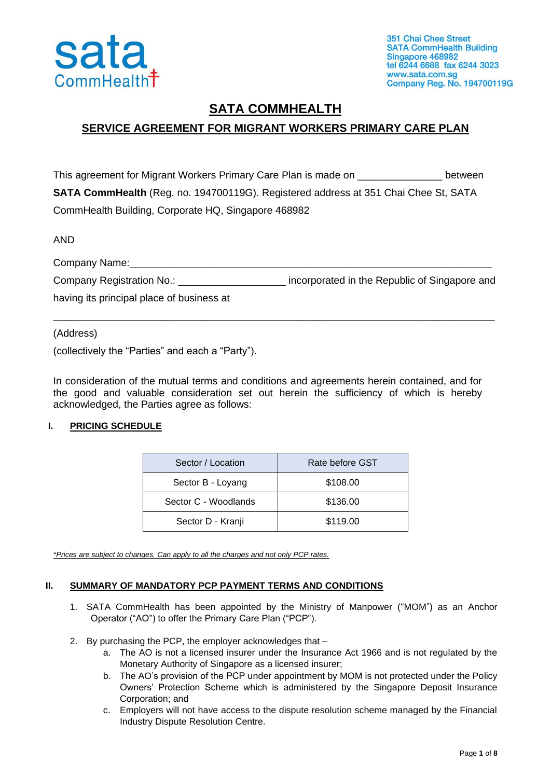

# **SATA COMMHEALTH**

## **SERVICE AGREEMENT FOR MIGRANT WORKERS PRIMARY CARE PLAN**

This agreement for Migrant Workers Primary Care Plan is made on \_\_\_\_\_\_\_\_\_\_\_\_\_\_\_\_ between **SATA CommHealth** (Reg. no. 194700119G). Registered address at 351 Chai Chee St, SATA CommHealth Building, Corporate HQ, Singapore 468982

AND

Company Name:

Company Registration No.: \_\_\_\_\_\_\_\_\_\_\_\_\_\_\_\_\_\_\_\_\_\_\_\_\_\_ incorporated in the Republic of Singapore and

\_\_\_\_\_\_\_\_\_\_\_\_\_\_\_\_\_\_\_\_\_\_\_\_\_\_\_\_\_\_\_\_\_\_\_\_\_\_\_\_\_\_\_\_\_\_\_\_\_\_\_\_\_\_\_\_\_\_\_\_\_\_\_\_\_\_\_\_\_\_\_\_\_\_\_\_\_\_

having its principal place of business at

#### (Address)

(collectively the "Parties" and each a "Party").

In consideration of the mutual terms and conditions and agreements herein contained, and for the good and valuable consideration set out herein the sufficiency of which is hereby acknowledged, the Parties agree as follows:

#### **I. PRICING SCHEDULE**

| Sector / Location    | Rate before GST |
|----------------------|-----------------|
| Sector B - Loyang    | \$108.00        |
| Sector C - Woodlands | \$136.00        |
| Sector D - Kranji    | \$119.00        |

*\*Prices are subject to changes. Can apply to all the charges and not only PCP rates.*

## **II. SUMMARY OF MANDATORY PCP PAYMENT TERMS AND CONDITIONS**

- 1. SATA CommHealth has been appointed by the Ministry of Manpower ("MOM") as an Anchor Operator ("AO") to offer the Primary Care Plan ("PCP").
- 2. By purchasing the PCP, the employer acknowledges that
	- a. The AO is not a licensed insurer under the Insurance Act 1966 and is not regulated by the Monetary Authority of Singapore as a licensed insurer;
	- b. The AO's provision of the PCP under appointment by MOM is not protected under the Policy Owners' Protection Scheme which is administered by the Singapore Deposit Insurance Corporation; and
	- c. Employers will not have access to the dispute resolution scheme managed by the Financial Industry Dispute Resolution Centre.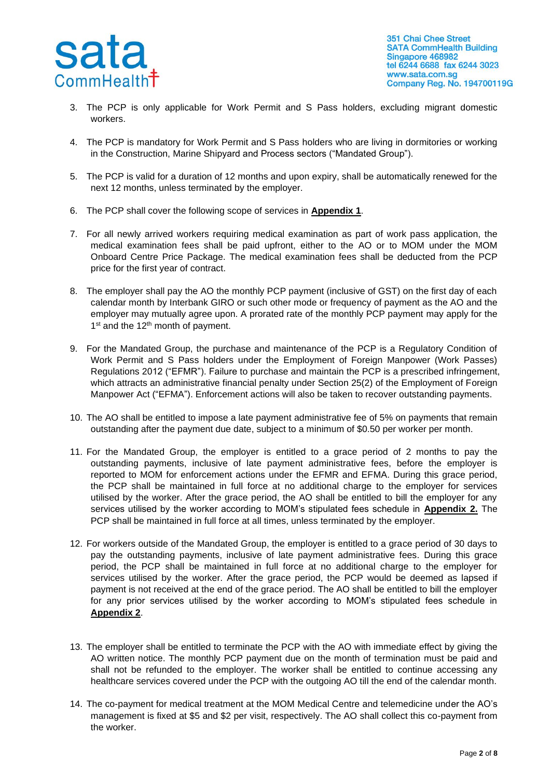

351 Chai Chee Street **SATA CommHealth Building** Singapore 468982 tel 6244 6688 fax 6244 3023 www.sata.com.sg **Company Reg. No. 194700119G** 

- 3. The PCP is only applicable for Work Permit and S Pass holders, excluding migrant domestic workers.
- 4. The PCP is mandatory for Work Permit and S Pass holders who are living in dormitories or working in the Construction, Marine Shipyard and Process sectors ("Mandated Group").
- 5. The PCP is valid for a duration of 12 months and upon expiry, shall be automatically renewed for the next 12 months, unless terminated by the employer.
- 6. The PCP shall cover the following scope of services in **Appendix 1**.
- 7. For all newly arrived workers requiring medical examination as part of work pass application, the medical examination fees shall be paid upfront, either to the AO or to MOM under the MOM Onboard Centre Price Package. The medical examination fees shall be deducted from the PCP price for the first year of contract.
- 8. The employer shall pay the AO the monthly PCP payment (inclusive of GST) on the first day of each calendar month by Interbank GIRO or such other mode or frequency of payment as the AO and the employer may mutually agree upon. A prorated rate of the monthly PCP payment may apply for the 1<sup>st</sup> and the 12<sup>th</sup> month of payment.
- 9. For the Mandated Group, the purchase and maintenance of the PCP is a Regulatory Condition of Work Permit and S Pass holders under the Employment of Foreign Manpower (Work Passes) Regulations 2012 ("EFMR"). Failure to purchase and maintain the PCP is a prescribed infringement, which attracts an administrative financial penalty under Section 25(2) of the Employment of Foreign Manpower Act ("EFMA"). Enforcement actions will also be taken to recover outstanding payments.
- 10. The AO shall be entitled to impose a late payment administrative fee of 5% on payments that remain outstanding after the payment due date, subject to a minimum of \$0.50 per worker per month.
- 11. For the Mandated Group, the employer is entitled to a grace period of 2 months to pay the outstanding payments, inclusive of late payment administrative fees, before the employer is reported to MOM for enforcement actions under the EFMR and EFMA. During this grace period, the PCP shall be maintained in full force at no additional charge to the employer for services utilised by the worker. After the grace period, the AO shall be entitled to bill the employer for any services utilised by the worker according to MOM's stipulated fees schedule in **Appendix 2.** The PCP shall be maintained in full force at all times, unless terminated by the employer.
- 12. For workers outside of the Mandated Group, the employer is entitled to a grace period of 30 days to pay the outstanding payments, inclusive of late payment administrative fees. During this grace period, the PCP shall be maintained in full force at no additional charge to the employer for services utilised by the worker. After the grace period, the PCP would be deemed as lapsed if payment is not received at the end of the grace period. The AO shall be entitled to bill the employer for any prior services utilised by the worker according to MOM's stipulated fees schedule in **Appendix 2**.
- 13. The employer shall be entitled to terminate the PCP with the AO with immediate effect by giving the AO written notice. The monthly PCP payment due on the month of termination must be paid and shall not be refunded to the employer. The worker shall be entitled to continue accessing any healthcare services covered under the PCP with the outgoing AO till the end of the calendar month.
- 14. The co-payment for medical treatment at the MOM Medical Centre and telemedicine under the AO's management is fixed at \$5 and \$2 per visit, respectively. The AO shall collect this co-payment from the worker.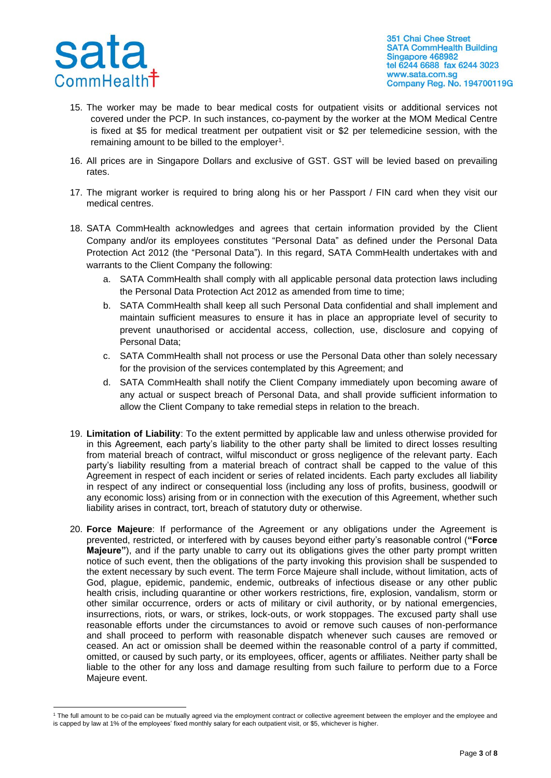

351 Chai Chee Street **SATA CommHealth Building** Singapore 468982 tel 6244 6688 fax 6244 3023 www.sata.com.sg **Company Reg. No. 194700119G** 

- 15. The worker may be made to bear medical costs for outpatient visits or additional services not covered under the PCP. In such instances, co-payment by the worker at the MOM Medical Centre is fixed at \$5 for medical treatment per outpatient visit or \$2 per telemedicine session, with the remaining amount to be billed to the employer<sup>1</sup>.
- 16. All prices are in Singapore Dollars and exclusive of GST. GST will be levied based on prevailing rates.
- 17. The migrant worker is required to bring along his or her Passport / FIN card when they visit our medical centres.
- 18. SATA CommHealth acknowledges and agrees that certain information provided by the Client Company and/or its employees constitutes "Personal Data" as defined under the Personal Data Protection Act 2012 (the "Personal Data"). In this regard, SATA CommHealth undertakes with and warrants to the Client Company the following:
	- a. SATA CommHealth shall comply with all applicable personal data protection laws including the Personal Data Protection Act 2012 as amended from time to time;
	- b. SATA CommHealth shall keep all such Personal Data confidential and shall implement and maintain sufficient measures to ensure it has in place an appropriate level of security to prevent unauthorised or accidental access, collection, use, disclosure and copying of Personal Data;
	- c. SATA CommHealth shall not process or use the Personal Data other than solely necessary for the provision of the services contemplated by this Agreement; and
	- d. SATA CommHealth shall notify the Client Company immediately upon becoming aware of any actual or suspect breach of Personal Data, and shall provide sufficient information to allow the Client Company to take remedial steps in relation to the breach.
- 19. **Limitation of Liability**: To the extent permitted by applicable law and unless otherwise provided for in this Agreement, each party's liability to the other party shall be limited to direct losses resulting from material breach of contract, wilful misconduct or gross negligence of the relevant party. Each party's liability resulting from a material breach of contract shall be capped to the value of this Agreement in respect of each incident or series of related incidents. Each party excludes all liability in respect of any indirect or consequential loss (including any loss of profits, business, goodwill or any economic loss) arising from or in connection with the execution of this Agreement, whether such liability arises in contract, tort, breach of statutory duty or otherwise.
- 20. **Force Majeure**: If performance of the Agreement or any obligations under the Agreement is prevented, restricted, or interfered with by causes beyond either party's reasonable control (**"Force Majeure"**), and if the party unable to carry out its obligations gives the other party prompt written notice of such event, then the obligations of the party invoking this provision shall be suspended to the extent necessary by such event. The term Force Majeure shall include, without limitation, acts of God, plague, epidemic, pandemic, endemic, outbreaks of infectious disease or any other public health crisis, including quarantine or other workers restrictions, fire, explosion, vandalism, storm or other similar occurrence, orders or acts of military or civil authority, or by national emergencies, insurrections, riots, or wars, or strikes, lock-outs, or work stoppages. The excused party shall use reasonable efforts under the circumstances to avoid or remove such causes of non-performance and shall proceed to perform with reasonable dispatch whenever such causes are removed or ceased. An act or omission shall be deemed within the reasonable control of a party if committed, omitted, or caused by such party, or its employees, officer, agents or affiliates. Neither party shall be liable to the other for any loss and damage resulting from such failure to perform due to a Force Majeure event.

<sup>1</sup> The full amount to be co-paid can be mutually agreed via the employment contract or collective agreement between the employer and the employee and is capped by law at 1% of the employees' fixed monthly salary for each outpatient visit, or \$5, whichever is higher.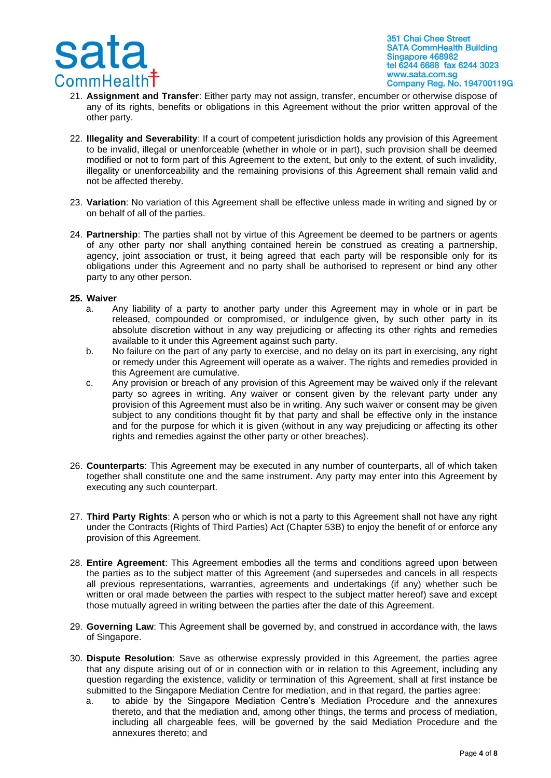

351 Chai Chee Street **SATA CommHealth Building** Singapore 468982 tel 6244 6688 fax 6244 3023 www.sata.com.sg **Company Reg. No. 194700119G** 

- 21. **Assignment and Transfer**: Either party may not assign, transfer, encumber or otherwise dispose of any of its rights, benefits or obligations in this Agreement without the prior written approval of the other party.
- 22. **Illegality and Severability**: If a court of competent jurisdiction holds any provision of this Agreement to be invalid, illegal or unenforceable (whether in whole or in part), such provision shall be deemed modified or not to form part of this Agreement to the extent, but only to the extent, of such invalidity, illegality or unenforceability and the remaining provisions of this Agreement shall remain valid and not be affected thereby.
- 23. **Variation**: No variation of this Agreement shall be effective unless made in writing and signed by or on behalf of all of the parties.
- 24. **Partnership**: The parties shall not by virtue of this Agreement be deemed to be partners or agents of any other party nor shall anything contained herein be construed as creating a partnership, agency, joint association or trust, it being agreed that each party will be responsible only for its obligations under this Agreement and no party shall be authorised to represent or bind any other party to any other person.

#### **25. Waiver**

- a. Any liability of a party to another party under this Agreement may in whole or in part be released, compounded or compromised, or indulgence given, by such other party in its absolute discretion without in any way prejudicing or affecting its other rights and remedies available to it under this Agreement against such party.
- b. No failure on the part of any party to exercise, and no delay on its part in exercising, any right or remedy under this Agreement will operate as a waiver. The rights and remedies provided in this Agreement are cumulative.
- c. Any provision or breach of any provision of this Agreement may be waived only if the relevant party so agrees in writing. Any waiver or consent given by the relevant party under any provision of this Agreement must also be in writing. Any such waiver or consent may be given subject to any conditions thought fit by that party and shall be effective only in the instance and for the purpose for which it is given (without in any way prejudicing or affecting its other rights and remedies against the other party or other breaches).
- 26. **Counterparts**: This Agreement may be executed in any number of counterparts, all of which taken together shall constitute one and the same instrument. Any party may enter into this Agreement by executing any such counterpart.
- 27. **Third Party Rights**: A person who or which is not a party to this Agreement shall not have any right under the Contracts (Rights of Third Parties) Act (Chapter 53B) to enjoy the benefit of or enforce any provision of this Agreement.
- 28. **Entire Agreement**: This Agreement embodies all the terms and conditions agreed upon between the parties as to the subject matter of this Agreement (and supersedes and cancels in all respects all previous representations, warranties, agreements and undertakings (if any) whether such be written or oral made between the parties with respect to the subject matter hereof) save and except those mutually agreed in writing between the parties after the date of this Agreement.
- 29. **Governing Law**: This Agreement shall be governed by, and construed in accordance with, the laws of Singapore.
- 30. **Dispute Resolution**: Save as otherwise expressly provided in this Agreement, the parties agree that any dispute arising out of or in connection with or in relation to this Agreement, including any question regarding the existence, validity or termination of this Agreement, shall at first instance be submitted to the Singapore Mediation Centre for mediation, and in that regard, the parties agree:
	- a. to abide by the Singapore Mediation Centre's Mediation Procedure and the annexures thereto, and that the mediation and, among other things, the terms and process of mediation, including all chargeable fees, will be governed by the said Mediation Procedure and the annexures thereto; and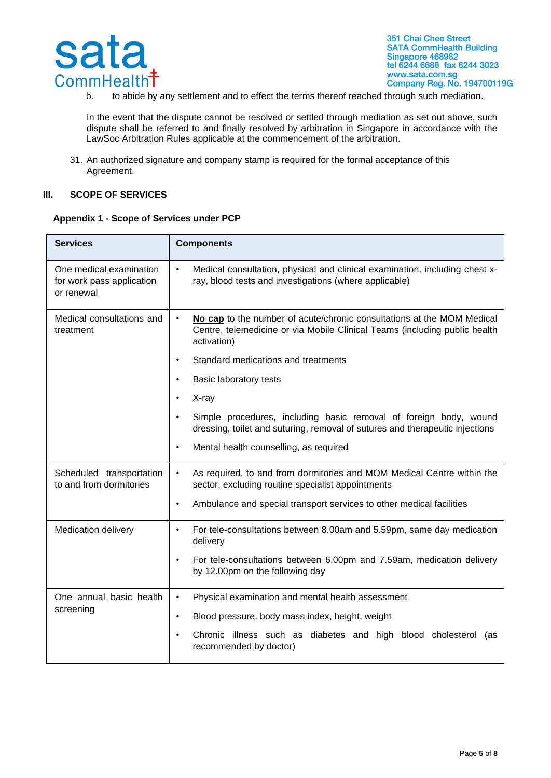

b. to abide by any settlement and to effect the terms thereof reached through such mediation.

In the event that the dispute cannot be resolved or settled through mediation as set out above, such dispute shall be referred to and finally resolved by arbitration in Singapore in accordance with the LawSoc Arbitration Rules applicable at the commencement of the arbitration.

31. An authorized signature and company stamp is required for the formal acceptance of this Agreement.

#### **III. SCOPE OF SERVICES**

#### **Appendix 1 - Scope of Services under PCP**

| <b>Services</b>                                                    | <b>Components</b>                                                                                                                                                                |
|--------------------------------------------------------------------|----------------------------------------------------------------------------------------------------------------------------------------------------------------------------------|
| One medical examination<br>for work pass application<br>or renewal | Medical consultation, physical and clinical examination, including chest x-<br>$\bullet$<br>ray, blood tests and investigations (where applicable)                               |
| Medical consultations and<br>treatment                             | No cap to the number of acute/chronic consultations at the MOM Medical<br>$\bullet$<br>Centre, telemedicine or via Mobile Clinical Teams (including public health<br>activation) |
|                                                                    | Standard medications and treatments<br>$\bullet$                                                                                                                                 |
|                                                                    | Basic laboratory tests<br>$\bullet$                                                                                                                                              |
|                                                                    | X-ray<br>$\bullet$                                                                                                                                                               |
|                                                                    | Simple procedures, including basic removal of foreign body, wound<br>$\bullet$<br>dressing, toilet and suturing, removal of sutures and therapeutic injections                   |
|                                                                    | Mental health counselling, as required<br>$\bullet$                                                                                                                              |
| Scheduled transportation<br>to and from dormitories                | As required, to and from dormitories and MOM Medical Centre within the<br>$\bullet$<br>sector, excluding routine specialist appointments                                         |
|                                                                    | Ambulance and special transport services to other medical facilities<br>$\bullet$                                                                                                |
| Medication delivery                                                | For tele-consultations between 8.00am and 5.59pm, same day medication<br>$\bullet$<br>delivery                                                                                   |
|                                                                    | For tele-consultations between 6.00pm and 7.59am, medication delivery<br>$\bullet$<br>by 12.00pm on the following day                                                            |
| One annual basic health<br>screening                               | Physical examination and mental health assessment<br>٠                                                                                                                           |
|                                                                    | Blood pressure, body mass index, height, weight<br>$\bullet$                                                                                                                     |
|                                                                    | Chronic illness such as diabetes and high blood cholesterol (as<br>$\bullet$<br>recommended by doctor)                                                                           |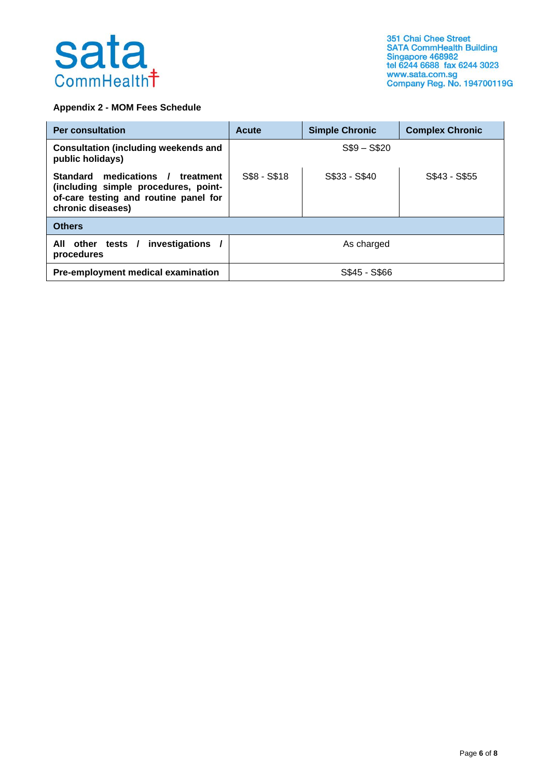

351 Chai Chee Street Salt Change Street<br>SATA CommHealth Building<br>Singapore 468982<br>tel 6244 6688 fax 6244 3023<br>www.sata.com.sg<br>Company Reg. No. 194700119G

#### **Appendix 2 - MOM Fees Schedule**

| <b>Per consultation</b>                                                                                                                                      | Acute        | <b>Simple Chronic</b> | <b>Complex Chronic</b> |  |
|--------------------------------------------------------------------------------------------------------------------------------------------------------------|--------------|-----------------------|------------------------|--|
| <b>Consultation (including weekends and</b><br>public holidays)                                                                                              |              | $S$9 - S$20$          |                        |  |
| Standard<br>medications<br>treatment<br>$\overline{ }$<br>(including simple procedures, point-<br>of-care testing and routine panel for<br>chronic diseases) | S\$8 - S\$18 | S\$33 - S\$40         | S\$43 - S\$55          |  |
| <b>Others</b>                                                                                                                                                |              |                       |                        |  |
| investigations<br>tests /<br>other<br>All<br>procedures                                                                                                      | As charged   |                       |                        |  |
| <b>Pre-employment medical examination</b>                                                                                                                    |              | S\$45 - S\$66         |                        |  |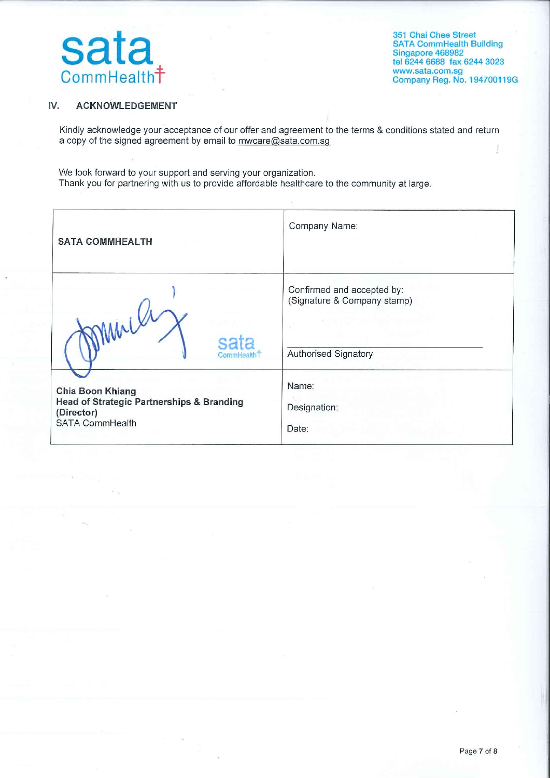

351 Chai Chee Street **SATA CommHealth Building** Singapore 468982<br>tel 6244 6688 fax 6244 3023 www.sata.com.sg<br>Company Reg. No. 194700119G

#### IV. **ACKNOWLEDGEMENT**

Kindly acknowledge your acceptance of our offer and agreement to the terms & conditions stated and return a copy of the signed agreement by email to mwcare@sata.com.sg

We look forward to your support and serving your organization. Thank you for partnering with us to provide affordable healthcare to the community at large.

| <b>SATA COMMHEALTH</b>                                                                                | Company Name:                                                                     |
|-------------------------------------------------------------------------------------------------------|-----------------------------------------------------------------------------------|
| MARIX                                                                                                 | Confirmed and accepted by:<br>(Signature & Company stamp)<br>Authorised Signatory |
| Chia Boon Khiang<br>Head of Strategic Partnerships & Branding<br>(Director)<br><b>SATA CommHealth</b> | Name:<br>Designation:<br>Date:                                                    |